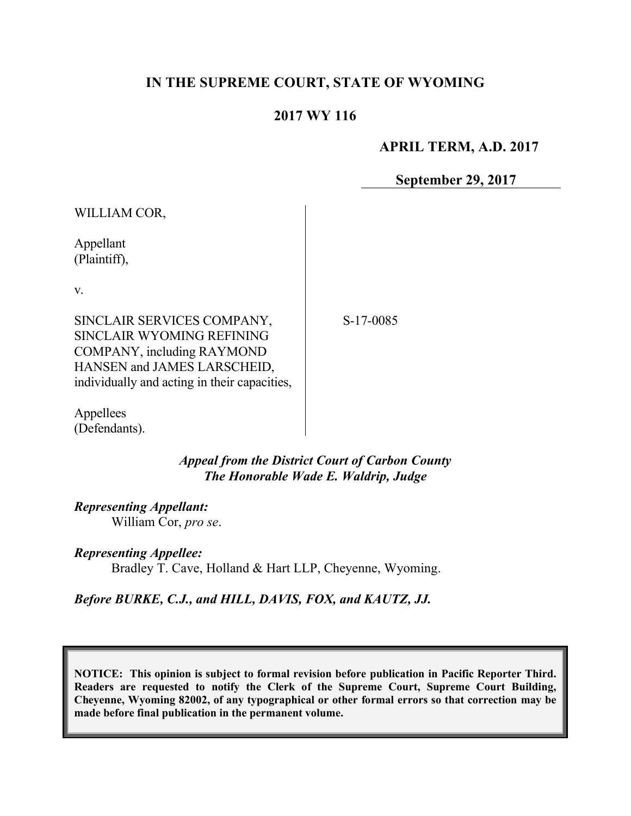# **IN THE SUPREME COURT, STATE OF WYOMING**

# **2017 WY 116**

# **APRIL TERM, A.D. 2017**

**September 29, 2017**

WILLIAM COR,

Appellant (Plaintiff),

v.

SINCLAIR SERVICES COMPANY, SINCLAIR WYOMING REFINING COMPANY, including RAYMOND HANSEN and JAMES LARSCHEID, individually and acting in their capacities, S-17-0085

Appellees (Defendants).

> *Appeal from the District Court of Carbon County The Honorable Wade E. Waldrip, Judge*

*Representing Appellant:* William Cor, *pro se*.

*Representing Appellee:* Bradley T. Cave, Holland & Hart LLP, Cheyenne, Wyoming.

*Before BURKE, C.J., and HILL, DAVIS, FOX, and KAUTZ, JJ.*

**NOTICE: This opinion is subject to formal revision before publication in Pacific Reporter Third. Readers are requested to notify the Clerk of the Supreme Court, Supreme Court Building, Cheyenne, Wyoming 82002, of any typographical or other formal errors so that correction may be made before final publication in the permanent volume.**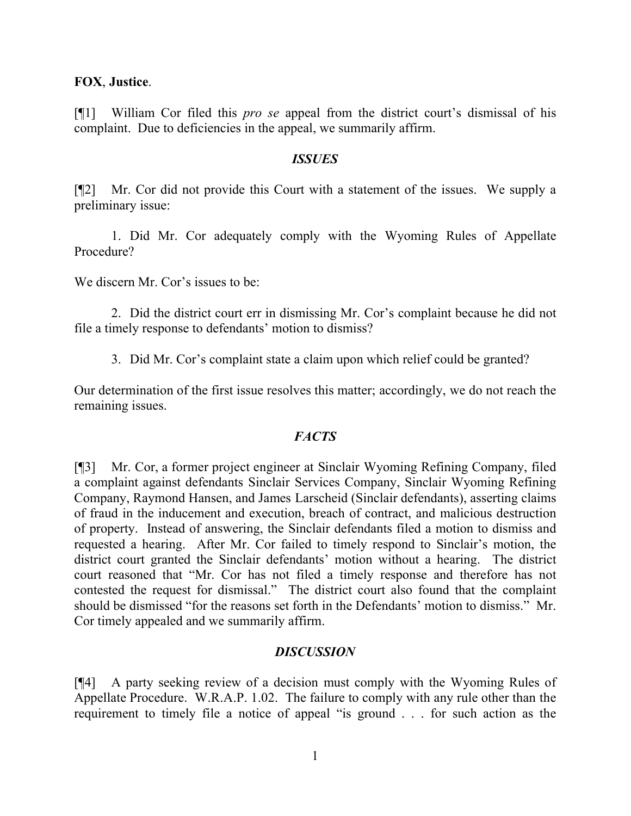#### **FOX**, **Justice**.

[¶1] William Cor filed this *pro se* appeal from the district court's dismissal of his complaint. Due to deficiencies in the appeal, we summarily affirm.

#### *ISSUES*

[¶2] Mr. Cor did not provide this Court with a statement of the issues. We supply a preliminary issue:

1. Did Mr. Cor adequately comply with the Wyoming Rules of Appellate Procedure?

We discern Mr. Cor's issues to be:

2. Did the district court err in dismissing Mr. Cor's complaint because he did not file a timely response to defendants' motion to dismiss?

3. Did Mr. Cor's complaint state a claim upon which relief could be granted?

Our determination of the first issue resolves this matter; accordingly, we do not reach the remaining issues.

## *FACTS*

[¶3] Mr. Cor, a former project engineer at Sinclair Wyoming Refining Company, filed a complaint against defendants Sinclair Services Company, Sinclair Wyoming Refining Company, Raymond Hansen, and James Larscheid (Sinclair defendants), asserting claims of fraud in the inducement and execution, breach of contract, and malicious destruction of property. Instead of answering, the Sinclair defendants filed a motion to dismiss and requested a hearing. After Mr. Cor failed to timely respond to Sinclair's motion, the district court granted the Sinclair defendants' motion without a hearing. The district court reasoned that "Mr. Cor has not filed a timely response and therefore has not contested the request for dismissal." The district court also found that the complaint should be dismissed "for the reasons set forth in the Defendants' motion to dismiss." Mr. Cor timely appealed and we summarily affirm.

## *DISCUSSION*

[¶4] A party seeking review of a decision must comply with the Wyoming Rules of Appellate Procedure. W.R.A.P. 1.02. The failure to comply with any rule other than the requirement to timely file a notice of appeal "is ground . . . for such action as the